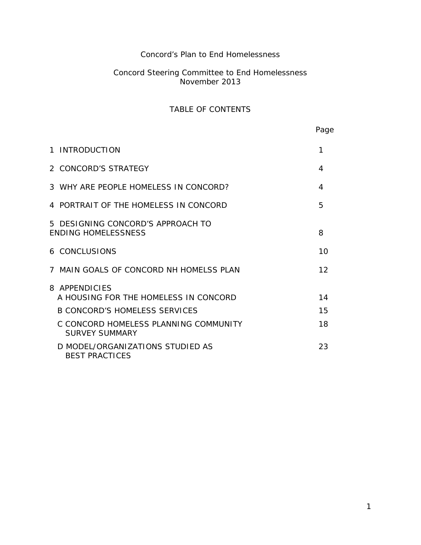# Concord's Plan to End Homelessness

## Concord Steering Committee to End Homelessness November 2013

# TABLE OF CONTENTS

Page

| 1 INTRODUCTION                                                  | 1  |
|-----------------------------------------------------------------|----|
| 2 CONCORD'S STRATEGY                                            | 4  |
| 3 WHY ARE PEOPLE HOMELESS IN CONCORD?                           | 4  |
| 4 PORTRAIT OF THE HOMELESS IN CONCORD                           | 5  |
| 5 DESIGNING CONCORD'S APPROACH TO<br><b>ENDING HOMELESSNESS</b> | 8  |
| <b>6 CONCLUSIONS</b>                                            | 10 |
| 7 MAIN GOALS OF CONCORD NH HOMELSS PLAN                         | 12 |
| 8 APPENDICIES<br>A HOUSING FOR THE HOMELESS IN CONCORD          | 14 |
| <b>B CONCORD'S HOMELESS SERVICES</b>                            | 15 |
| C CONCORD HOMELESS PLANNING COMMUNITY<br>SURVEY SUMMARY         | 18 |
| D MODEL/ORGANIZATIONS STUDIED AS<br><b>BEST PRACTICES</b>       | 23 |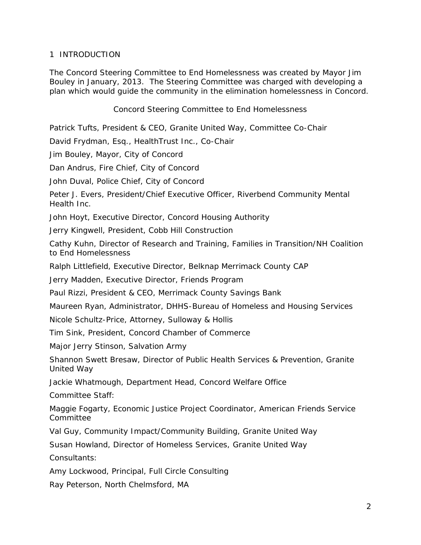## 1 INTRODUCTION

The Concord Steering Committee to End Homelessness was created by Mayor Jim Bouley in January, 2013. The Steering Committee was charged with developing a plan which would guide the community in the elimination homelessness in Concord.

Concord Steering Committee to End Homelessness

Patrick Tufts, President & CEO, Granite United Way, Committee Co-Chair

David Frydman, Esq., HealthTrust Inc., Co-Chair

Jim Bouley, Mayor, City of Concord

Dan Andrus, Fire Chief, City of Concord

John Duval, Police Chief, City of Concord

Peter J. Evers, President/Chief Executive Officer, Riverbend Community Mental Health Inc.

John Hoyt, Executive Director, Concord Housing Authority

Jerry Kingwell, President, Cobb Hill Construction

Cathy Kuhn, Director of Research and Training, Families in Transition/NH Coalition to End Homelessness

Ralph Littlefield, Executive Director, Belknap Merrimack County CAP

Jerry Madden, Executive Director, Friends Program

Paul Rizzi, President & CEO, Merrimack County Savings Bank

Maureen Ryan, Administrator, DHHS-Bureau of Homeless and Housing Services

Nicole Schultz-Price, Attorney, Sulloway & Hollis

Tim Sink, President, Concord Chamber of Commerce

Major Jerry Stinson, Salvation Army

Shannon Swett Bresaw, Director of Public Health Services & Prevention, Granite United Way

Jackie Whatmough, Department Head, Concord Welfare Office

Committee Staff:

Maggie Fogarty, Economic Justice Project Coordinator, American Friends Service Committee

Val Guy, Community Impact/Community Building, Granite United Way

Susan Howland, Director of Homeless Services, Granite United Way

Consultants:

Amy Lockwood, Principal, Full Circle Consulting

Ray Peterson, North Chelmsford, MA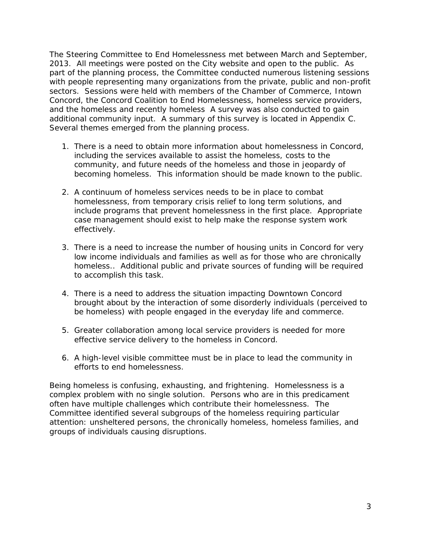The Steering Committee to End Homelessness met between March and September, 2013. All meetings were posted on the City website and open to the public. As part of the planning process, the Committee conducted numerous listening sessions with people representing many organizations from the private, public and non-profit sectors. Sessions were held with members of the Chamber of Commerce, Intown Concord, the Concord Coalition to End Homelessness, homeless service providers, and the homeless and recently homeless A survey was also conducted to gain additional community input. A summary of this survey is located in Appendix C. Several themes emerged from the planning process.

- 1. There is a need to obtain more information about homelessness in Concord, including the services available to assist the homeless, costs to the community, and future needs of the homeless and those in jeopardy of becoming homeless. This information should be made known to the public.
- 2. A continuum of homeless services needs to be in place to combat homelessness, from temporary crisis relief to long term solutions, and include programs that prevent homelessness in the first place. Appropriate case management should exist to help make the response system work effectively.
- 3. There is a need to increase the number of housing units in Concord for very low income individuals and families as well as for those who are chronically homeless.. Additional public and private sources of funding will be required to accomplish this task.
- 4. There is a need to address the situation impacting Downtown Concord brought about by the interaction of some disorderly individuals (perceived to be homeless) with people engaged in the everyday life and commerce.
- 5. Greater collaboration among local service providers is needed for more effective service delivery to the homeless in Concord.
- 6. A high-level visible committee must be in place to lead the community in efforts to end homelessness.

Being homeless is confusing, exhausting, and frightening. Homelessness is a complex problem with no single solution. Persons who are in this predicament often have multiple challenges which contribute their homelessness. The Committee identified several subgroups of the homeless requiring particular attention: unsheltered persons, the chronically homeless, homeless families, and groups of individuals causing disruptions.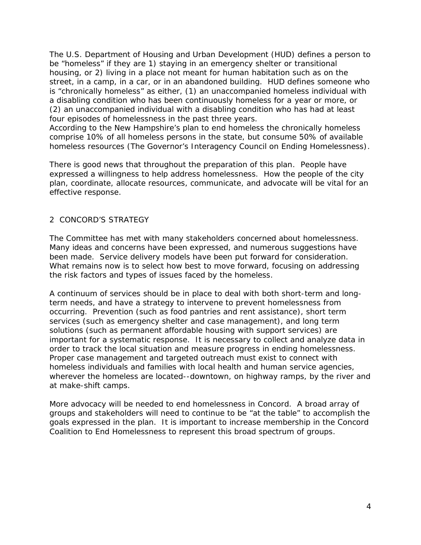The U.S. Department of Housing and Urban Development (HUD) defines a person to be "homeless" if they are 1) staying in an emergency shelter or transitional housing, or 2) living in a place not meant for human habitation such as on the street, in a camp, in a car, or in an abandoned building. HUD defines someone who is "chronically homeless" as either, (1) an unaccompanied homeless individual with a disabling condition who has been continuously homeless for a year or more, or (2) an unaccompanied individual with a disabling condition who has had at least four episodes of homelessness in the past three years.

According to the New Hampshire's plan to end homeless the chronically homeless comprise 10% of all homeless persons in the state, but consume 50% of available homeless resources (The Governor's Interagency Council on Ending Homelessness).

There is good news that throughout the preparation of this plan. People have expressed a willingness to help address homelessness. How the people of the city plan, coordinate, allocate resources, communicate, and advocate will be vital for an effective response.

## 2 CONCORD'S STRATEGY

The Committee has met with many stakeholders concerned about homelessness. Many ideas and concerns have been expressed, and numerous suggestions have been made. Service delivery models have been put forward for consideration. What remains now is to select how best to move forward, focusing on addressing the risk factors and types of issues faced by the homeless.

A continuum of services should be in place to deal with both short-term and longterm needs, and have a strategy to intervene to prevent homelessness from occurring. Prevention (such as food pantries and rent assistance), short term services (such as emergency shelter and case management), and long term solutions (such as permanent affordable housing with support services) are important for a systematic response. It is necessary to collect and analyze data in order to track the local situation and measure progress in ending homelessness. Proper case management and targeted outreach must exist to connect with homeless individuals and families with local health and human service agencies, wherever the homeless are located--downtown, on highway ramps, by the river and at make-shift camps.

More advocacy will be needed to end homelessness in Concord. A broad array of groups and stakeholders will need to continue to be "at the table" to accomplish the goals expressed in the plan. It is important to increase membership in the Concord Coalition to End Homelessness to represent this broad spectrum of groups.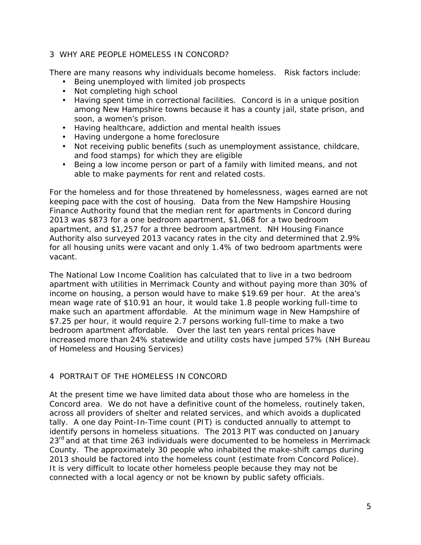## 3 WHY ARE PEOPLE HOMELESS IN CONCORD?

There are many reasons why individuals become homeless. Risk factors include:

- Being unemployed with limited job prospects
- Not completing high school
- Having spent time in correctional facilities. Concord is in a unique position among New Hampshire towns because it has a county jail, state prison, and soon, a women's prison.
- Having healthcare, addiction and mental health issues
- Having undergone a home foreclosure
- Not receiving public benefits (such as unemployment assistance, childcare, and food stamps) for which they are eligible
- Being a low income person or part of a family with limited means, and not able to make payments for rent and related costs.

For the homeless and for those threatened by homelessness, wages earned are not keeping pace with the cost of housing. Data from the New Hampshire Housing Finance Authority found that the median rent for apartments in Concord during 2013 was \$873 for a one bedroom apartment, \$1,068 for a two bedroom apartment, and \$1,257 for a three bedroom apartment. NH Housing Finance Authority also surveyed 2013 vacancy rates in the city and determined that 2.9% for all housing units were vacant and only 1.4% of two bedroom apartments were vacant.

The National Low Income Coalition has calculated that to live in a two bedroom apartment with utilities in Merrimack County and without paying more than 30% of income on housing, a person would have to make \$19.69 per hour. At the area's mean wage rate of \$10.91 an hour, it would take 1.8 people working full-time to make such an apartment affordable. At the minimum wage in New Hampshire of \$7.25 per hour, it would require 2.7 persons working full-time to make a two bedroom apartment affordable. Over the last ten years rental prices have increased more than 24% statewide and utility costs have jumped 57% (NH Bureau of Homeless and Housing Services)

## 4 PORTRAIT OF THE HOMELESS IN CONCORD

At the present time we have limited data about those who are homeless in the Concord area. We do not have a definitive count of the homeless, routinely taken, across all providers of shelter and related services, and which avoids a duplicated tally. A one day Point-In-Time count (PIT) is conducted annually to attempt to identify persons in homeless situations. The 2013 PIT was conducted on January 23<sup>rd</sup> and at that time 263 individuals were documented to be homeless in Merrimack County. The approximately 30 people who inhabited the make-shift camps during 2013 should be factored into the homeless count (estimate from Concord Police). It is very difficult to locate other homeless people because they may not be connected with a local agency or not be known by public safety officials.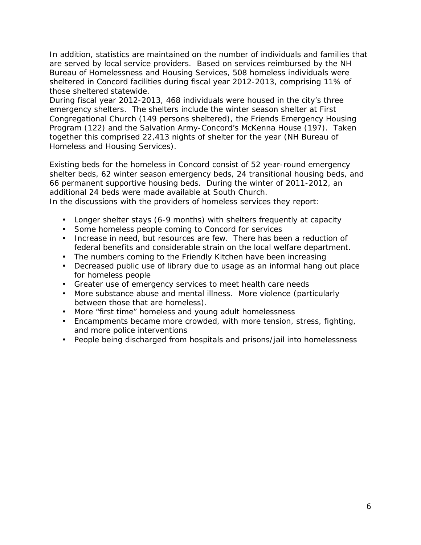In addition, statistics are maintained on the number of individuals and families that are served by local service providers. Based on services reimbursed by the NH Bureau of Homelessness and Housing Services, 508 homeless individuals were sheltered in Concord facilities during fiscal year 2012-2013, comprising 11% of those sheltered statewide.

During fiscal year 2012-2013, 468 individuals were housed in the city's three emergency shelters. The shelters include the winter season shelter at First Congregational Church (149 persons sheltered), the Friends Emergency Housing Program (122) and the Salvation Army-Concord's McKenna House (197). Taken together this comprised 22,413 nights of shelter for the year (NH Bureau of Homeless and Housing Services).

Existing beds for the homeless in Concord consist of 52 year-round emergency shelter beds, 62 winter season emergency beds, 24 transitional housing beds, and 66 permanent supportive housing beds. During the winter of 2011-2012, an additional 24 beds were made available at South Church.

In the discussions with the providers of homeless services they report:

- Longer shelter stays (6-9 months) with shelters frequently at capacity
- Some homeless people coming to Concord for services
- Increase in need, but resources are few. There has been a reduction of federal benefits and considerable strain on the local welfare department.
- The numbers coming to the Friendly Kitchen have been increasing
- Decreased public use of library due to usage as an informal hang out place for homeless people
- Greater use of emergency services to meet health care needs
- More substance abuse and mental illness. More violence (particularly between those that are homeless).
- More "first time" homeless and young adult homelessness
- Encampments became more crowded, with more tension, stress, fighting, and more police interventions
- People being discharged from hospitals and prisons/jail into homelessness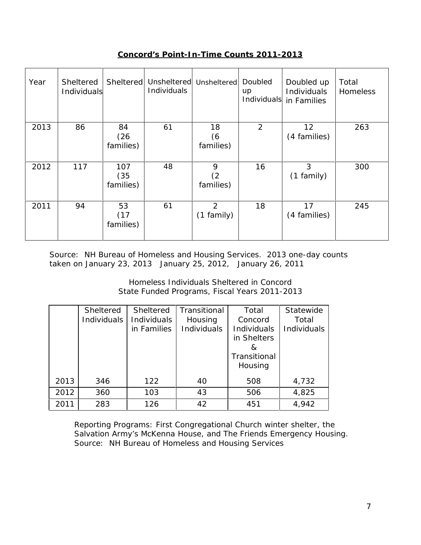**Concord's Point-In-Time Counts 2011-2013**

| Year | Sheltered<br>Individuals | Sheltered                | Individuals | Unsheltered Unsheltered | Doubled<br>up<br>Individuals | Doubled up<br>Individuals<br>in Families | Total<br><b>Homeless</b> |
|------|--------------------------|--------------------------|-------------|-------------------------|------------------------------|------------------------------------------|--------------------------|
| 2013 | 86                       | 84<br>(26)<br>families)  | 61          | 18<br>(6)<br>families)  | 2                            | 12<br>(4 families)                       | 263                      |
| 2012 | 117                      | 107<br>(35)<br>families) | 48          | 9<br>(2)<br>families)   | 16                           | 3<br>(1 family)                          | 300                      |
| 2011 | 94                       | 53<br>(17)<br>families)  | 61          | 2<br>$(1$ family)       | 18                           | 17<br>(4 families)                       | 245                      |

Source: NH Bureau of Homeless and Housing Services. 2013 one-day counts taken on January 23, 2013 January 25, 2012, January 26, 2011

> Homeless Individuals Sheltered in Concord State Funded Programs, Fiscal Years 2011-2013

|      | Sheltered<br>Individuals | Sheltered<br>Individuals<br>in Families | Transitional<br>Housing<br>Individuals | Total<br>Concord<br>Individuals<br>in Shelters<br>&<br>Transitional<br>Housing | Statewide<br>Total<br>Individuals |
|------|--------------------------|-----------------------------------------|----------------------------------------|--------------------------------------------------------------------------------|-----------------------------------|
| 2013 | 346                      | 122                                     | 40                                     | 508                                                                            | 4,732                             |
| 2012 | 360                      | 103                                     | 43                                     | 506                                                                            | 4,825                             |
| 2011 | 283                      | 126                                     | 42                                     | 451                                                                            | 4,942                             |

Reporting Programs: First Congregational Church winter shelter, the Salvation Army's McKenna House, and The Friends Emergency Housing. Source: NH Bureau of Homeless and Housing Services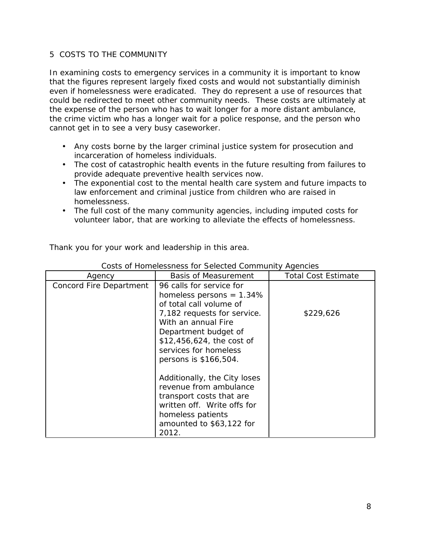## 5 COSTS TO THE COMMUNITY

In examining costs to emergency services in a community it is important to know that the figures represent largely fixed costs and would not substantially diminish even if homelessness were eradicated. They do represent a use of resources that could be redirected to meet other community needs. These costs are ultimately at the expense of the person who has to wait longer for a more distant ambulance, the crime victim who has a longer wait for a police response, and the person who cannot get in to see a very busy caseworker.

- Any costs borne by the larger criminal justice system for prosecution and incarceration of homeless individuals.
- The cost of catastrophic health events in the future resulting from failures to provide adequate preventive health services now.
- The exponential cost to the mental health care system and future impacts to law enforcement and criminal justice from children who are raised in homelessness.
- The full cost of the many community agencies, including imputed costs for volunteer labor, that are working to alleviate the effects of homelessness.

| Costs of Homelessness for Selected Community Agencies |                                                                                                                                                                                                                                                 |                            |  |  |
|-------------------------------------------------------|-------------------------------------------------------------------------------------------------------------------------------------------------------------------------------------------------------------------------------------------------|----------------------------|--|--|
| Agency                                                | Basis of Measurement                                                                                                                                                                                                                            | <b>Total Cost Estimate</b> |  |  |
| Concord Fire Department                               | 96 calls for service for<br>homeless persons = $1.34\%$<br>of total call volume of<br>7,182 requests for service.<br>With an annual Fire<br>Department budget of<br>\$12,456,624, the cost of<br>services for homeless<br>persons is \$166,504. | \$229,626                  |  |  |
|                                                       | Additionally, the City loses<br>revenue from ambulance<br>transport costs that are<br>written off. Write offs for<br>homeless patients<br>amounted to \$63,122 for<br>2012.                                                                     |                            |  |  |

Thank you for your work and leadership in this area.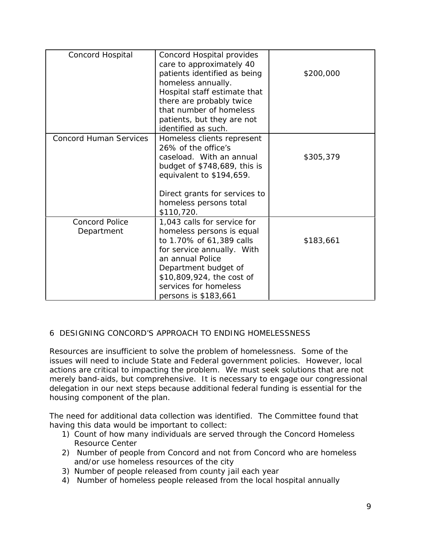| Concord Hospital                    | Concord Hospital provides<br>care to approximately 40<br>patients identified as being<br>homeless annually.                                                                                                                                  | \$200,000 |
|-------------------------------------|----------------------------------------------------------------------------------------------------------------------------------------------------------------------------------------------------------------------------------------------|-----------|
|                                     | Hospital staff estimate that<br>there are probably twice<br>that number of homeless<br>patients, but they are not<br>identified as such.                                                                                                     |           |
| <b>Concord Human Services</b>       | Homeless clients represent<br>26% of the office's<br>caseload. With an annual<br>budget of \$748,689, this is<br>equivalent to \$194,659.<br>Direct grants for services to                                                                   | \$305,379 |
|                                     | homeless persons total<br>\$110,720.                                                                                                                                                                                                         |           |
| <b>Concord Police</b><br>Department | 1,043 calls for service for<br>homeless persons is equal<br>to 1.70% of 61,389 calls<br>for service annually. With<br>an annual Police<br>Department budget of<br>\$10,809,924, the cost of<br>services for homeless<br>persons is \$183,661 | \$183,661 |

## 6 DESIGNING CONCORD'S APPROACH TO ENDING HOMELESSNESS

Resources are insufficient to solve the problem of homelessness. Some of the issues will need to include State and Federal government policies. However, local actions are critical to impacting the problem. We must seek solutions that are not merely band-aids, but comprehensive. It is necessary to engage our congressional delegation in our next steps because additional federal funding is essential for the housing component of the plan.

The need for additional data collection was identified. The Committee found that having this data would be important to collect:

- 1) Count of how many individuals are served through the Concord Homeless Resource Center
- 2) Number of people from Concord and not from Concord who are homeless and/or use homeless resources of the city
- 3) Number of people released from county jail each year
- 4) Number of homeless people released from the local hospital annually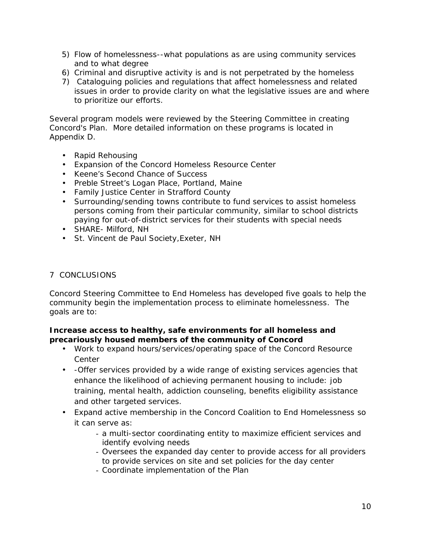- 5) Flow of homelessness--what populations as are using community services and to what degree
- 6) Criminal and disruptive activity is and is not perpetrated by the homeless
- 7) Cataloguing policies and regulations that affect homelessness and related issues in order to provide clarity on what the legislative issues are and where to prioritize our efforts.

Several program models were reviewed by the Steering Committee in creating Concord's Plan. More detailed information on these programs is located in Appendix D.

- Rapid Rehousing
- Expansion of the Concord Homeless Resource Center
- Keene's Second Chance of Success
- Preble Street's Logan Place, Portland, Maine
- Family Justice Center in Strafford County
- Surrounding/sending towns contribute to fund services to assist homeless persons coming from their particular community, similar to school districts paying for out-of-district services for their students with special needs
- SHARE- Milford, NH
- St. Vincent de Paul Society,Exeter, NH

## 7 CONCLUSIONS

Concord Steering Committee to End Homeless has developed five goals to help the community begin the implementation process to eliminate homelessness. The goals are to:

**Increase access to healthy, safe environments for all homeless and precariously housed members of the community of Concord**

- Work to expand hours/services/operating space of the Concord Resource Center
- -Offer services provided by a wide range of existing services agencies that enhance the likelihood of achieving permanent housing to include: job training, mental health, addiction counseling, benefits eligibility assistance and other targeted services.
- Expand active membership in the Concord Coalition to End Homelessness so it can serve as:
	- a multi-sector coordinating entity to maximize efficient services and identify evolving needs
	- Oversees the expanded day center to provide access for all providers to provide services on site and set policies for the day center
	- Coordinate implementation of the Plan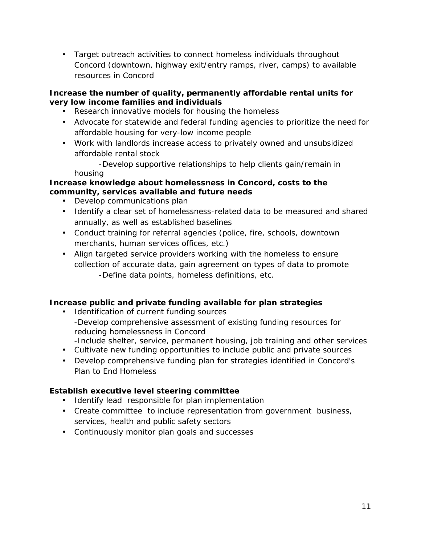Target outreach activities to connect homeless individuals throughout Concord (downtown, highway exit/entry ramps, river, camps) to available resources in Concord

**Increase the number of quality, permanently affordable rental units for very low income families and individuals**

- Research innovative models for housing the homeless
- Advocate for statewide and federal funding agencies to prioritize the need for affordable housing for very-low income people
- Work with landlords increase access to privately owned and unsubsidized affordable rental stock

-Develop supportive relationships to help clients gain/remain in housing

**Increase knowledge about homelessness in Concord, costs to the community, services available and future needs**

- Develop communications plan
- Identify a clear set of homelessness-related data to be measured and shared annually, as well as established baselines
- Conduct training for referral agencies (police, fire, schools, downtown merchants, human services offices, etc.)
- Align targeted service providers working with the homeless to ensure collection of accurate data, gain agreement on types of data to promote -Define data points, homeless definitions, etc.

**Increase public and private funding available for plan strategies**

- Identification of current funding sources -Develop comprehensive assessment of existing funding resources for reducing homelessness in Concord -Include shelter, service, permanent housing, job training and other services
- Cultivate new funding opportunities to include public and private sources
- Develop comprehensive funding plan for strategies identified in Concord's Plan to End Homeless

**Establish executive level steering committee**

- Identify lead responsible for plan implementation
- Create committee to include representation from government business, services, health and public safety sectors
- Continuously monitor plan goals and successes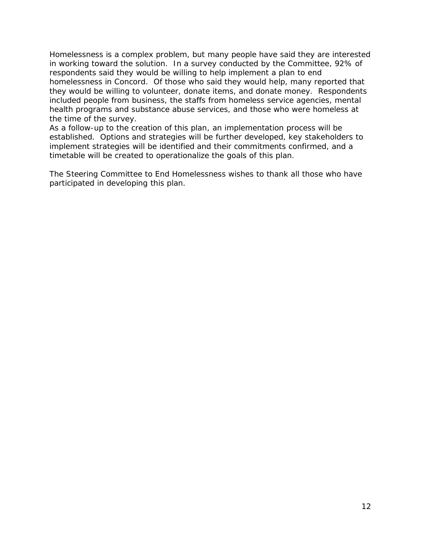Homelessness is a complex problem, but many people have said they are interested in working toward the solution. In a survey conducted by the Committee, 92% of respondents said they would be willing to help implement a plan to end homelessness in Concord. Of those who said they would help, many reported that they would be willing to volunteer, donate items, and donate money. Respondents included people from business, the staffs from homeless service agencies, mental health programs and substance abuse services, and those who were homeless at the time of the survey.

As a follow-up to the creation of this plan, an implementation process will be established. Options and strategies will be further developed, key stakeholders to implement strategies will be identified and their commitments confirmed, and a timetable will be created to operationalize the goals of this plan.

The Steering Committee to End Homelessness wishes to thank all those who have participated in developing this plan.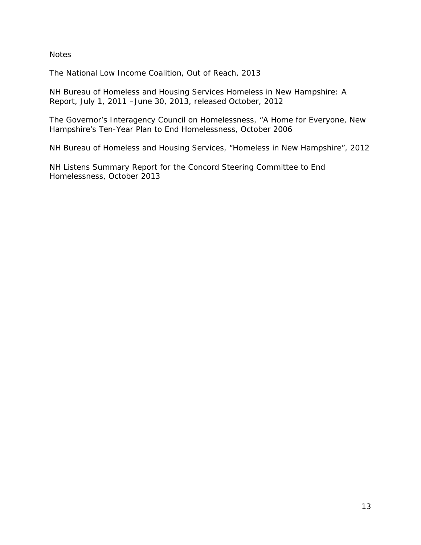**Notes** 

The National Low Income Coalition, Out of Reach, 2013

NH Bureau of Homeless and Housing Services Homeless in New Hampshire: A Report, July 1, 2011 –June 30, 2013, released October, 2012

The Governor's Interagency Council on Homelessness, "A Home for Everyone, New Hampshire's Ten-Year Plan to End Homelessness, October 2006

NH Bureau of Homeless and Housing Services, "Homeless in New Hampshire", 2012

NH Listens Summary Report for the Concord Steering Committee to End Homelessness, October 2013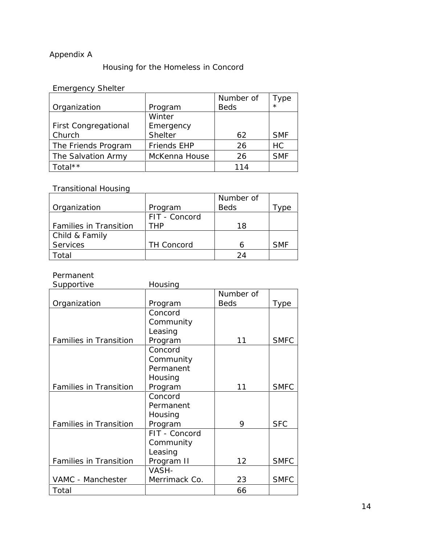# Appendix A

## Housing for the Homeless in Concord

# Emergency Shelter

|                             |                    | Number of   | Type       |  |
|-----------------------------|--------------------|-------------|------------|--|
| Organization                | Program            | <b>Beds</b> | $\star$    |  |
|                             | Winter             |             |            |  |
| <b>First Congregational</b> | Emergency          |             |            |  |
| Church                      | Shelter            | 62          | <b>SMF</b> |  |
| The Friends Program         | <b>Friends EHP</b> | 26          | HC         |  |
| The Salvation Army          | McKenna House      | 26          | <b>SMF</b> |  |
| Total**                     |                    | 114         |            |  |

## Transitional Housing

|                        |                   | Number of   |            |
|------------------------|-------------------|-------------|------------|
| Organization           | Program           | <b>Beds</b> | ype        |
|                        | FIT - Concord     |             |            |
| Families in Transition | THP               | 18          |            |
| Child & Family         |                   |             |            |
| Services               | <b>TH Concord</b> |             | <b>SMF</b> |
| Total                  |                   | 24          |            |

## Permanent

| Supportive                    | Housing       |             |             |
|-------------------------------|---------------|-------------|-------------|
|                               |               | Number of   |             |
| Organization                  | Program       | <b>Beds</b> | <b>Type</b> |
|                               | Concord       |             |             |
|                               | Community     |             |             |
|                               | Leasing       |             |             |
| <b>Families in Transition</b> | Program       | 11          | <b>SMFC</b> |
|                               | Concord       |             |             |
|                               | Community     |             |             |
|                               | Permanent     |             |             |
|                               | Housing       |             |             |
| <b>Families in Transition</b> | Program       | 11          | <b>SMFC</b> |
|                               | Concord       |             |             |
|                               | Permanent     |             |             |
|                               | Housing       |             |             |
| <b>Families in Transition</b> | Program       | 9           | <b>SFC</b>  |
|                               | FIT - Concord |             |             |
|                               | Community     |             |             |
|                               | Leasing       |             |             |
| Families in Transition        | Program II    | 12          | <b>SMFC</b> |
|                               | VASH-         |             |             |
| VAMC - Manchester             | Merrimack Co. | 23          | <b>SMFC</b> |
| Total                         |               | 66          |             |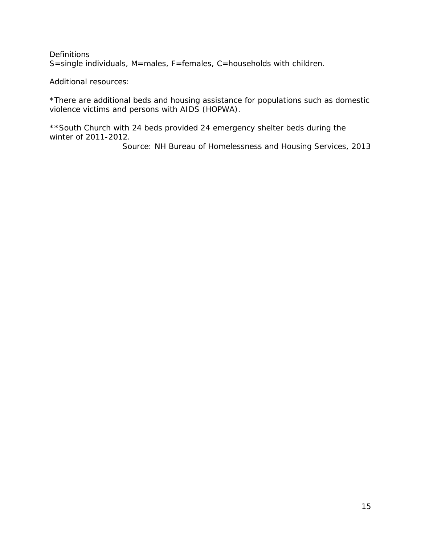### **Definitions** S=single individuals, M=males, F=females, C=households with children.

Additional resources:

\*There are additional beds and housing assistance for populations such as domestic violence victims and persons with AIDS (HOPWA).

\*\*South Church with 24 beds provided 24 emergency shelter beds during the winter of 2011-2012.

Source: NH Bureau of Homelessness and Housing Services, 2013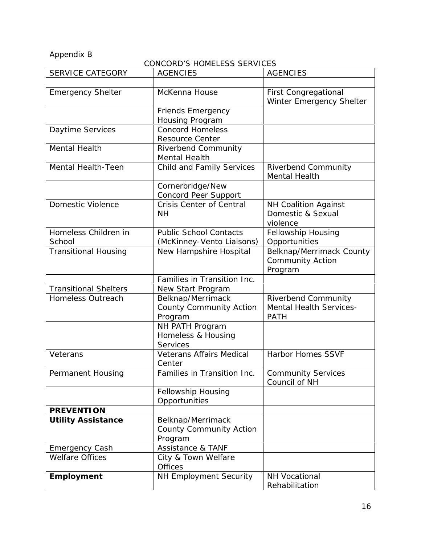Appendix B

CONCORD'S HOMELESS SERVICES

| <b>SERVICE CATEGORY</b>        | <b>AGENCIES</b>                                                | <b>AGENCIES</b>                                                      |
|--------------------------------|----------------------------------------------------------------|----------------------------------------------------------------------|
|                                |                                                                |                                                                      |
| <b>Emergency Shelter</b>       | McKenna House                                                  | <b>First Congregational</b><br>Winter Emergency Shelter              |
|                                | Friends Emergency                                              |                                                                      |
|                                | Housing Program                                                |                                                                      |
| Daytime Services               | <b>Concord Homeless</b><br><b>Resource Center</b>              |                                                                      |
| Mental Health                  | <b>Riverbend Community</b><br><b>Mental Health</b>             |                                                                      |
| Mental Health-Teen             | Child and Family Services                                      | Riverbend Community<br>Mental Health                                 |
|                                | Cornerbridge/New<br>Concord Peer Support                       |                                                                      |
| Domestic Violence              | <b>Crisis Center of Central</b><br><b>NH</b>                   | NH Coalition Against<br>Domestic & Sexual<br>violence                |
| Homeless Children in<br>School | <b>Public School Contacts</b><br>(McKinney-Vento Liaisons)     | Fellowship Housing<br>Opportunities                                  |
| <b>Transitional Housing</b>    | New Hampshire Hospital                                         | Belknap/Merrimack County<br>Community Action<br>Program              |
|                                | Families in Transition Inc.                                    |                                                                      |
| <b>Transitional Shelters</b>   | New Start Program                                              |                                                                      |
| Homeless Outreach              | Belknap/Merrimack<br>County Community Action<br>Program        | Riverbend Community<br><b>Mental Health Services-</b><br><b>PATH</b> |
|                                | NH PATH Program<br>Homeless & Housing<br>Services              |                                                                      |
| Veterans                       | <b>Veterans Affairs Medical</b><br>Center                      | <b>Harbor Homes SSVF</b>                                             |
| Permanent Housing              | Families in Transition Inc.                                    | <b>Community Services</b><br>Council of NH                           |
|                                | Fellowship Housing<br>Opportunities                            |                                                                      |
| <b>PREVENTION</b>              |                                                                |                                                                      |
| <b>Utility Assistance</b>      | Belknap/Merrimack<br><b>County Community Action</b><br>Program |                                                                      |
| <b>Emergency Cash</b>          | Assistance & TANF                                              |                                                                      |
| <b>Welfare Offices</b>         | City & Town Welfare<br><b>Offices</b>                          |                                                                      |
| Employment                     | NH Employment Security                                         | <b>NH Vocational</b><br>Rehabilitation                               |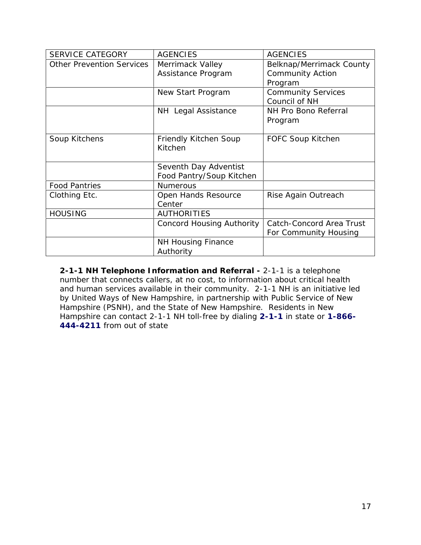| <b>SERVICE CATEGORY</b>          | <b>AGENCIES</b>                                   | <b>AGENCIES</b>                                                |
|----------------------------------|---------------------------------------------------|----------------------------------------------------------------|
| <b>Other Prevention Services</b> | Merrimack Valley<br>Assistance Program            | Belknap/Merrimack County<br><b>Community Action</b><br>Program |
|                                  | New Start Program                                 | <b>Community Services</b><br>Council of NH                     |
|                                  | NH Legal Assistance                               | NH Pro Bono Referral<br>Program                                |
| Soup Kitchens                    | Friendly Kitchen Soup<br>Kitchen                  | FOFC Soup Kitchen                                              |
|                                  | Seventh Day Adventist<br>Food Pantry/Soup Kitchen |                                                                |
| <b>Food Pantries</b>             | <b>Numerous</b>                                   |                                                                |
| Clothing Etc.                    | Open Hands Resource<br>Center                     | Rise Again Outreach                                            |
| <b>HOUSING</b>                   | <b>AUTHORITIES</b>                                |                                                                |
|                                  | <b>Concord Housing Authority</b>                  | Catch-Concord Area Trust<br>For Community Housing              |
|                                  | <b>NH Housing Finance</b><br>Authority            |                                                                |

**2-1-1 NH Telephone Information and Referral -** 2-1-1 is a telephone number that connects callers, at no cost, to information about critical health and human services available in their community. 2-1-1 NH is an initiative led by United Ways of New Hampshire, in partnership with Public Service of New Hampshire (PSNH), and the State of New Hampshire. Residents in New Hampshire can contact 2-1-1 NH toll-free by dialing **2-1-1** in state or **1-866- 444-4211** from out of state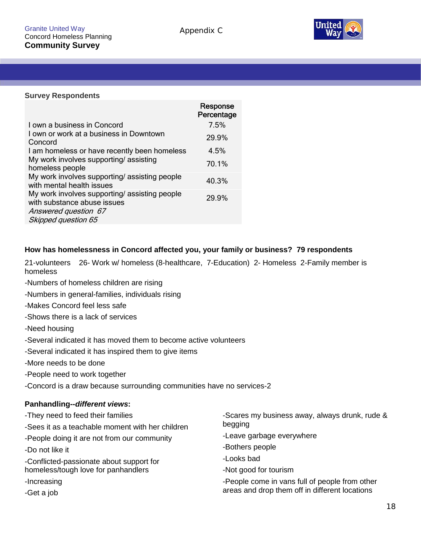

#### **Survey Respondents**

| Response<br>Percentage |
|------------------------|
| 7.5%                   |
| 29.9%                  |
| 4.5%                   |
| 70.1%                  |
| 40.3%                  |
| 29.9%                  |
|                        |

### **How has homelessness in Concord affected you, your family or business? 79 respondents**

21-volunteers 26- Work w/ homeless (8-healthcare, 7-Education) 2- Homeless 2-Family member is homeless

- -Numbers of homeless children are rising
- -Numbers in general-families, individuals rising
- -Makes Concord feel less safe
- -Shows there is a lack of services
- -Need housing
- -Several indicated it has moved them to become active volunteers
- -Several indicated it has inspired them to give items
- -More needs to be done
- -People need to work together
- -Concord is a draw because surrounding communities have no services-2

#### **Panhandling--***different views***:**

-They need to feed their families -Sees it as a teachable moment with her children -People doing it are not from our community -Do not like it -Conflicted-passionate about support for homeless/tough love for panhandlers -Increasing -Get a job -Scares my business away, always drunk, rude & begging -Leave garbage everywhere -Bothers people -Looks bad -Not good for tourism -People come in vans full of people from other areas and drop them off in different locations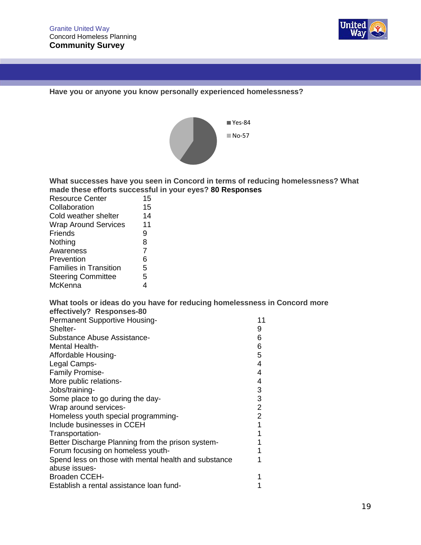

**Have you or anyone you know personally experienced homelessness?**



**What successes have you seen in Concord in terms of reducing homelessness? What made these efforts successful in your eyes? 80 Responses**

| <b>Resource Center</b>        | 15 |
|-------------------------------|----|
| Collaboration                 | 15 |
| Cold weather shelter          | 14 |
| <b>Wrap Around Services</b>   | 11 |
| Friends                       | 9  |
| Nothing                       | 8  |
| Awareness                     | 7  |
| Prevention                    | 6  |
| <b>Families in Transition</b> | 5  |
| <b>Steering Committee</b>     | 5  |
| McKenna                       | 4  |

## **What tools or ideas do you have for reducing homelessness in Concord more effectively? Responses-80**

| Permanent Supportive Housing-                        | 11             |
|------------------------------------------------------|----------------|
| Shelter-                                             | 9              |
| Substance Abuse Assistance-                          | 6              |
| Mental Health-                                       | 6              |
| Affordable Housing-                                  | 5              |
| Legal Camps-                                         | 4              |
| <b>Family Promise-</b>                               | 4              |
| More public relations-                               | 4              |
| Jobs/training-                                       | 3              |
| Some place to go during the day-                     | 3              |
| Wrap around services-                                | $\overline{2}$ |
| Homeless youth special programming-                  | 2              |
| Include businesses in CCEH                           |                |
| Transportation-                                      |                |
| Better Discharge Planning from the prison system-    |                |
| Forum focusing on homeless youth-                    |                |
| Spend less on those with mental health and substance |                |
| abuse issues-                                        |                |
| <b>Broaden CCEH-</b>                                 |                |
| Establish a rental assistance loan fund-             |                |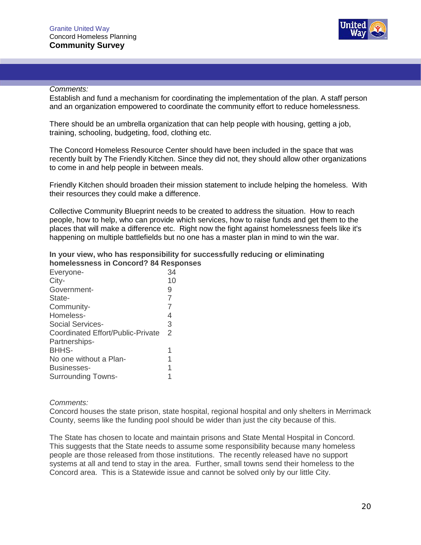

#### *Comments:*

Establish and fund a mechanism for coordinating the implementation of the plan. A staff person and an organization empowered to coordinate the community effort to reduce homelessness.

There should be an umbrella organization that can help people with housing, getting a job, training, schooling, budgeting, food, clothing etc.

The Concord Homeless Resource Center should have been included in the space that was recently built by The Friendly Kitchen. Since they did not, they should allow other organizations to come in and help people in between meals.

Friendly Kitchen should broaden their mission statement to include helping the homeless. With their resources they could make a difference.

Collective Community Blueprint needs to be created to address the situation. How to reach people, how to help, who can provide which services, how to raise funds and get them to the places that will make a difference etc. Right now the fight against homelessness feels like it's happening on multiple battlefields but no one has a master plan in mind to win the war.

#### **In your view, who has responsibility for successfully reducing or eliminating homelessness in Concord? 84 Responses**

| 34            |  |
|---------------|--|
| 10            |  |
| 9             |  |
| 7             |  |
|               |  |
| 4             |  |
| 3             |  |
| $\mathcal{P}$ |  |
|               |  |
| 1             |  |
|               |  |
|               |  |
|               |  |
|               |  |

*Comments:*

Concord houses the state prison, state hospital, regional hospital and only shelters in Merrimack County, seems like the funding pool should be wider than just the city because of this.

The State has chosen to locate and maintain prisons and State Mental Hospital in Concord. This suggests that the State needs to assume some responsibility because many homeless people are those released from those institutions. The recently released have no support systems at all and tend to stay in the area. Further, small towns send their homeless to the Concord area. This is a Statewide issue and cannot be solved only by our little City.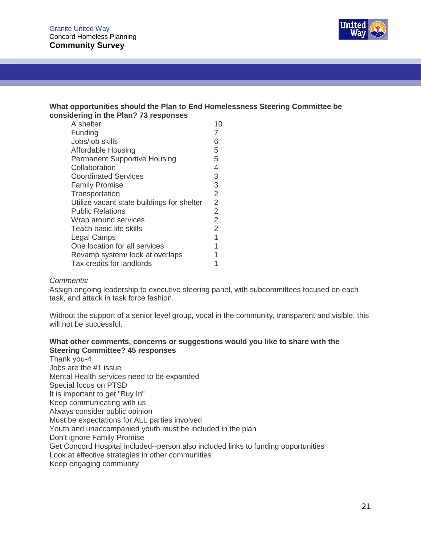

#### **What opportunities should the Plan to End Homelessness Steering Committee be considering in the Plan? 73 responses**

| A shelter                                  | 10             |
|--------------------------------------------|----------------|
| Funding                                    |                |
| Jobs/job skills                            | 6              |
| Affordable Housing                         | 5              |
| <b>Permanent Supportive Housing</b>        | 5              |
| Collaboration                              | 4              |
| <b>Coordinated Services</b>                | 3              |
| <b>Family Promise</b>                      | 3              |
| Transportation                             | $\overline{2}$ |
| Utilize vacant state buildings for shelter | 2              |
| <b>Public Relations</b>                    | 2              |
| Wrap around services                       | $\overline{2}$ |
| Teach basic life skills                    | 2              |
| <b>Legal Camps</b>                         | 1              |
| One location for all services              |                |
| Revamp system/look at overlaps             |                |
| Tax credits for landlords                  |                |

#### *Comments:*

Assign ongoing leadership to executive steering panel, with subcommittees focused on each task, and attack in task force fashion.

Without the support of a senior level group, vocal in the community, transparent and visible, this will not be successful.

#### **What other comments, concerns orsuggestions would you like to share with the Steering Committee? 45 responses**

Thank you-4 Jobs are the #1 issue Mental Health services need to be expanded Special focus on PTSD It is important to get "Buy In" Keep communicating with us Always consider public opinion Must be expectations for ALL parties involved Youth and unaccompanied youth must be included in the plan Don't ignore Family Promise Get Concord Hospital included--person also included links to funding opportunities Look at effective strategies in other communities Keep engaging community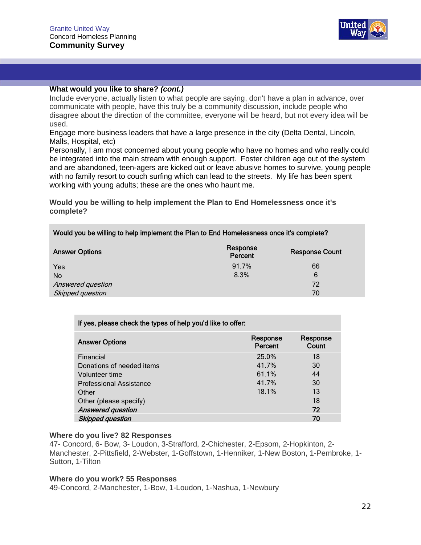

#### **What would you like to share?** *(cont.)*

Include everyone, actually listen to what people are saying, don't have a plan in advance, over communicate with people, have this truly be a community discussion, include people who disagree about the direction of the committee, everyone will be heard, but not every idea will be used.

Engage more business leaders that have a large presence in the city (Delta Dental, Lincoln, Malls, Hospital, etc)

Personally, I am most concerned about young people who have no homes and who really could be integrated into the main stream with enough support. Foster children age out of the system and are abandoned, teen-agers are kicked out or leave abusive homes to survive, young people with no family resort to couch surfing which can lead to the streets. My life has been spent working with young adults; these are the ones who haunt me.

**Would you be willing to help implement the Plan to End Homelessness once it's complete?**

#### **Would you be willing to help implement the Plan to End Homelessness once it's complete?**

| <b>Answer Options</b> | Response<br>Percent | <b>Response Count</b> |
|-----------------------|---------------------|-----------------------|
| Yes                   | 91.7%               | 66                    |
| <b>No</b>             | 8.3%                | 6                     |
| Answered question     |                     | 72                    |
| Skipped question      |                     | 70                    |

#### **If yes, please check the types of help you'd like to offer:**

| <b>Answer Options</b>          | Response<br>Percent | Response<br>Count |
|--------------------------------|---------------------|-------------------|
| Financial                      | 25.0%               | 18                |
| Donations of needed items      | 41.7%               | 30                |
| Volunteer time                 | 61.1%               | 44                |
| <b>Professional Assistance</b> | 41.7%               | 30                |
| Other                          | 18.1%               | 13                |
| Other (please specify)         |                     | 18                |
| <b>Answered question</b>       |                     | 72                |
| <b>Skipped question</b>        |                     | 70                |

#### **Where do you live? 82 Responses**

47- Concord, 6- Bow, 3- Loudon, 3-Strafford, 2-Chichester, 2-Epsom, 2-Hopkinton, 2- Manchester, 2-Pittsfield, 2-Webster, 1-Goffstown, 1-Henniker, 1-New Boston, 1-Pembroke, 1- Sutton, 1-Tilton

#### **Where do you work? 55 Responses**

49-Concord, 2-Manchester, 1-Bow, 1-Loudon, 1-Nashua, 1-Newbury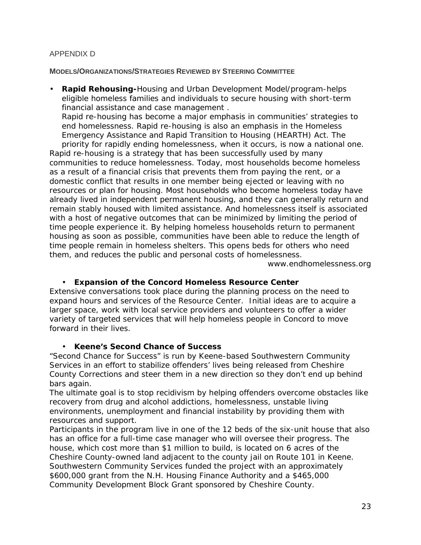### APPENDIX D

#### **MODELS/ORGANIZATIONS/STRATEGIES REVIEWED BY STEERING COMMITTEE**

 **Rapid Rehousing-**Housing and Urban Development Model/program-helps eligible homeless families and individuals to secure housing with short-term financial assistance and case management . Rapid re-housing has become a major emphasis in communities' strategies to end homelessness. Rapid re-housing is also an emphasis in the Homeless Emergency Assistance and Rapid Transition to Housing (HEARTH) Act. The priority for rapidly ending homelessness, when it occurs, is now a national one. Rapid re-housing is a strategy that has been successfully used by many communities to reduce homelessness. Today, most households become homeless as a result of a financial crisis that prevents them from paying the rent, or a domestic conflict that results in one member being ejected or leaving with no resources or plan for housing. Most households who become homeless today have already lived in independent permanent housing, and they can generally return and remain stably housed with limited assistance. And homelessness itself is associated with a host of negative outcomes that can be minimized by limiting the period of time people experience it. By helping homeless households return to permanent housing as soon as possible, communities have been able to reduce the length of time people remain in homeless shelters. This opens beds for others who need

www.endhomelessness.org

 **Expansion of the Concord Homeless Resource Center** Extensive conversations took place during the planning process on the need to expand hours and services of the Resource Center. Initial ideas are to acquire a larger space, work with local service providers and volunteers to offer a wider variety of targeted services that will help homeless people in Concord to move forward in their lives.

them, and reduces the public and personal costs of homelessness.

**Keene's Second Chance of Success**

"Second Chance for Success" is run by Keene-based Southwestern Community Services in an effort to stabilize offenders' lives being released from Cheshire County Corrections and steer them in a new direction so they don't end up behind bars again.

The ultimate goal is to stop recidivism by helping offenders overcome obstacles like recovery from drug and alcohol addictions, homelessness, unstable living environments, unemployment and financial instability by providing them with resources and support.

Participants in the program live in one of the 12 beds of the six-unit house that also has an office for a full-time case manager who will oversee their progress. The house, which cost more than \$1 million to build, is located on 6 acres of the Cheshire County-owned land adjacent to the county jail on Route 101 in Keene. Southwestern Community Services funded the project with an approximately \$600,000 grant from the N.H. Housing Finance Authority and a \$465,000 Community Development Block Grant sponsored by Cheshire County.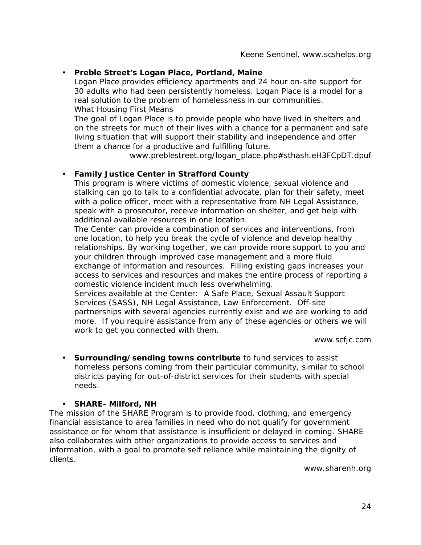**Preble Street's Logan Place, Portland, Maine** Logan Place provides efficiency apartments and 24 hour on-site support for 30 adults who had been persistently homeless. Logan Place is a model for a real solution to the problem of homelessness in our communities. What Housing First Means The goal of Logan Place is to provide people who have lived in shelters and on the streets for much of their lives with a chance for a permanent and safe

living situation that will support their stability and independence and offer them a chance for a productive and fulfilling future.

www.preblestreet.org/logan\_place.php#sthash.eH3FCpDT.dpuf

**Family Justice Center in Strafford County**

This program is where victims of domestic violence, sexual violence and stalking can go to talk to a confidential advocate, plan for their safety, meet with a police officer, meet with a representative from NH Legal Assistance, speak with a prosecutor, receive information on shelter, and get help with additional available resources in one location.

The Center can provide a combination of services and interventions, from one location, to help you break the cycle of violence and develop healthy relationships. By working together, we can provide more support to you and your children through improved case management and a more fluid exchange of information and resources. Filling existing gaps increases your access to services and resources and makes the entire process of reporting a domestic violence incident much less overwhelming. Services available at the Center: A Safe Place, Sexual Assault Support Services (SASS), NH Legal Assistance, Law Enforcement. Off-site

partnerships with several agencies currently exist and we are working to add more. If you require assistance from any of these agencies or others we will work to get you connected with them.

www.scfjc.com

- **Surrounding/sending towns contribute** to fund services to assist homeless persons coming from their particular community, similar to school districts paying for out-of-district services for their students with special needs.
- **SHARE- Milford, NH**

The mission of the SHARE Program is to provide food, clothing, and emergency financial assistance to area families in need who do not qualify for government assistance or for whom that assistance is insufficient or delayed in coming. SHARE also collaborates with other organizations to provide access to services and information, with a goal to promote self reliance while maintaining the dignity of clients.

www.sharenh.org